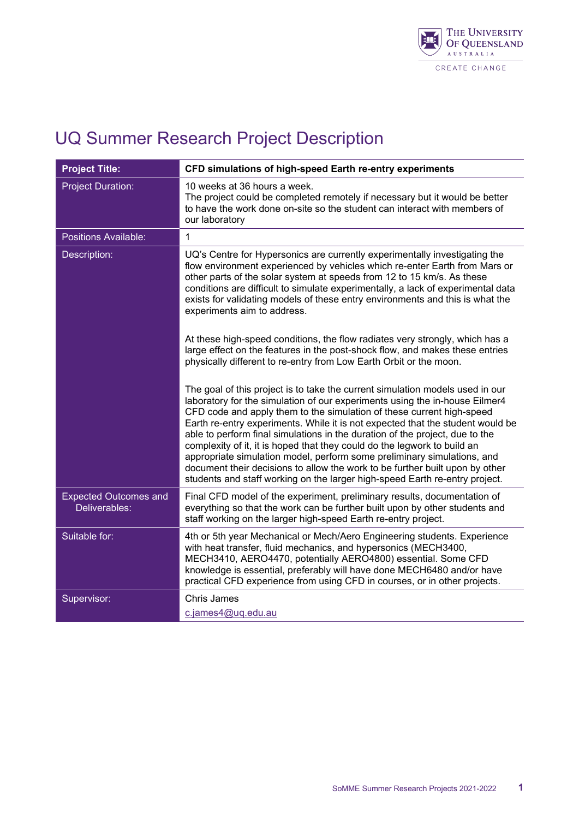

| <b>Project Title:</b>                         | CFD simulations of high-speed Earth re-entry experiments                                                                                                                                                                                                                                                                                                                                                                                                                                                                                                                                                                                                                                                                      |
|-----------------------------------------------|-------------------------------------------------------------------------------------------------------------------------------------------------------------------------------------------------------------------------------------------------------------------------------------------------------------------------------------------------------------------------------------------------------------------------------------------------------------------------------------------------------------------------------------------------------------------------------------------------------------------------------------------------------------------------------------------------------------------------------|
| <b>Project Duration:</b>                      | 10 weeks at 36 hours a week.<br>The project could be completed remotely if necessary but it would be better<br>to have the work done on-site so the student can interact with members of<br>our laboratory                                                                                                                                                                                                                                                                                                                                                                                                                                                                                                                    |
| Positions Available:                          | $\mathbf{1}$                                                                                                                                                                                                                                                                                                                                                                                                                                                                                                                                                                                                                                                                                                                  |
| Description:                                  | UQ's Centre for Hypersonics are currently experimentally investigating the<br>flow environment experienced by vehicles which re-enter Earth from Mars or<br>other parts of the solar system at speeds from 12 to 15 km/s. As these<br>conditions are difficult to simulate experimentally, a lack of experimental data<br>exists for validating models of these entry environments and this is what the<br>experiments aim to address.                                                                                                                                                                                                                                                                                        |
|                                               | At these high-speed conditions, the flow radiates very strongly, which has a<br>large effect on the features in the post-shock flow, and makes these entries<br>physically different to re-entry from Low Earth Orbit or the moon.                                                                                                                                                                                                                                                                                                                                                                                                                                                                                            |
|                                               | The goal of this project is to take the current simulation models used in our<br>laboratory for the simulation of our experiments using the in-house Eilmer4<br>CFD code and apply them to the simulation of these current high-speed<br>Earth re-entry experiments. While it is not expected that the student would be<br>able to perform final simulations in the duration of the project, due to the<br>complexity of it, it is hoped that they could do the legwork to build an<br>appropriate simulation model, perform some preliminary simulations, and<br>document their decisions to allow the work to be further built upon by other<br>students and staff working on the larger high-speed Earth re-entry project. |
| <b>Expected Outcomes and</b><br>Deliverables: | Final CFD model of the experiment, preliminary results, documentation of<br>everything so that the work can be further built upon by other students and<br>staff working on the larger high-speed Earth re-entry project.                                                                                                                                                                                                                                                                                                                                                                                                                                                                                                     |
| Suitable for:                                 | 4th or 5th year Mechanical or Mech/Aero Engineering students. Experience<br>with heat transfer, fluid mechanics, and hypersonics (MECH3400,<br>MECH3410, AERO4470, potentially AERO4800) essential. Some CFD<br>knowledge is essential, preferably will have done MECH6480 and/or have<br>practical CFD experience from using CFD in courses, or in other projects.                                                                                                                                                                                                                                                                                                                                                           |
| Supervisor:                                   | <b>Chris James</b><br>c.james4@uq.edu.au                                                                                                                                                                                                                                                                                                                                                                                                                                                                                                                                                                                                                                                                                      |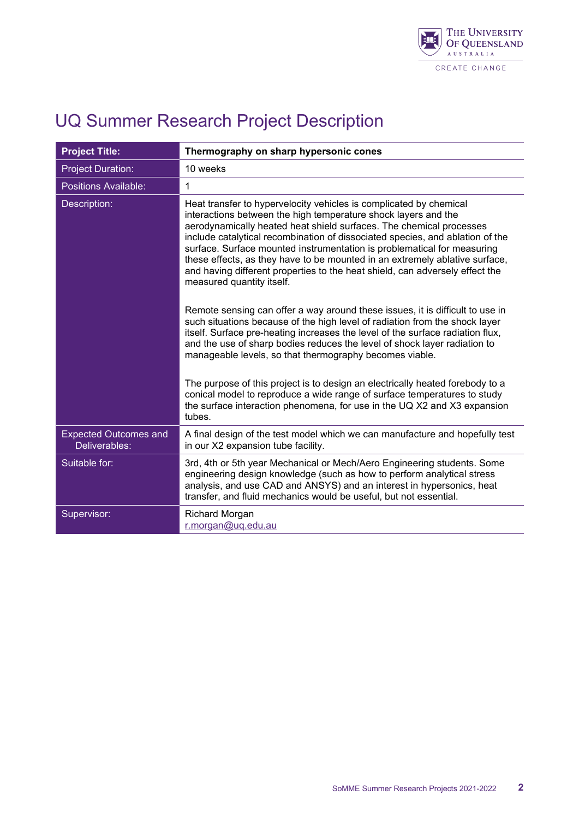

| <b>Project Title:</b>                         | Thermography on sharp hypersonic cones                                                                                                                                                                                                                                                                                                                                                                                                                                                                                                                              |
|-----------------------------------------------|---------------------------------------------------------------------------------------------------------------------------------------------------------------------------------------------------------------------------------------------------------------------------------------------------------------------------------------------------------------------------------------------------------------------------------------------------------------------------------------------------------------------------------------------------------------------|
| <b>Project Duration:</b>                      | 10 weeks                                                                                                                                                                                                                                                                                                                                                                                                                                                                                                                                                            |
| <b>Positions Available:</b>                   | 1                                                                                                                                                                                                                                                                                                                                                                                                                                                                                                                                                                   |
| Description:                                  | Heat transfer to hypervelocity vehicles is complicated by chemical<br>interactions between the high temperature shock layers and the<br>aerodynamically heated heat shield surfaces. The chemical processes<br>include catalytical recombination of dissociated species, and ablation of the<br>surface. Surface mounted instrumentation is problematical for measuring<br>these effects, as they have to be mounted in an extremely ablative surface,<br>and having different properties to the heat shield, can adversely effect the<br>measured quantity itself. |
|                                               | Remote sensing can offer a way around these issues, it is difficult to use in<br>such situations because of the high level of radiation from the shock layer<br>itself. Surface pre-heating increases the level of the surface radiation flux,<br>and the use of sharp bodies reduces the level of shock layer radiation to<br>manageable levels, so that thermography becomes viable.                                                                                                                                                                              |
|                                               | The purpose of this project is to design an electrically heated forebody to a<br>conical model to reproduce a wide range of surface temperatures to study<br>the surface interaction phenomena, for use in the UQ X2 and X3 expansion<br>tubes.                                                                                                                                                                                                                                                                                                                     |
| <b>Expected Outcomes and</b><br>Deliverables: | A final design of the test model which we can manufacture and hopefully test<br>in our X2 expansion tube facility.                                                                                                                                                                                                                                                                                                                                                                                                                                                  |
| Suitable for:                                 | 3rd, 4th or 5th year Mechanical or Mech/Aero Engineering students. Some<br>engineering design knowledge (such as how to perform analytical stress<br>analysis, and use CAD and ANSYS) and an interest in hypersonics, heat<br>transfer, and fluid mechanics would be useful, but not essential.                                                                                                                                                                                                                                                                     |
| Supervisor:                                   | Richard Morgan<br>r.morgan@uq.edu.au                                                                                                                                                                                                                                                                                                                                                                                                                                                                                                                                |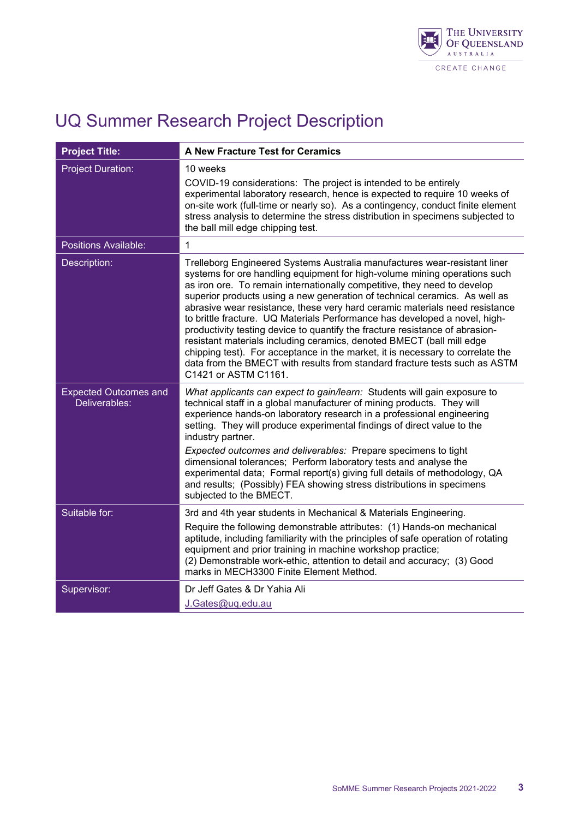

| <b>Project Title:</b>                         | A New Fracture Test for Ceramics                                                                                                                                                                                                                                                                                                                                                                                                                                                                                                                                                                                                                                                                                                                                                                                               |
|-----------------------------------------------|--------------------------------------------------------------------------------------------------------------------------------------------------------------------------------------------------------------------------------------------------------------------------------------------------------------------------------------------------------------------------------------------------------------------------------------------------------------------------------------------------------------------------------------------------------------------------------------------------------------------------------------------------------------------------------------------------------------------------------------------------------------------------------------------------------------------------------|
| <b>Project Duration:</b>                      | 10 weeks<br>COVID-19 considerations: The project is intended to be entirely<br>experimental laboratory research, hence is expected to require 10 weeks of<br>on-site work (full-time or nearly so). As a contingency, conduct finite element<br>stress analysis to determine the stress distribution in specimens subjected to<br>the ball mill edge chipping test.                                                                                                                                                                                                                                                                                                                                                                                                                                                            |
| <b>Positions Available:</b>                   | $\mathbf{1}$                                                                                                                                                                                                                                                                                                                                                                                                                                                                                                                                                                                                                                                                                                                                                                                                                   |
| Description:                                  | Trelleborg Engineered Systems Australia manufactures wear-resistant liner<br>systems for ore handling equipment for high-volume mining operations such<br>as iron ore. To remain internationally competitive, they need to develop<br>superior products using a new generation of technical ceramics. As well as<br>abrasive wear resistance, these very hard ceramic materials need resistance<br>to brittle fracture. UQ Materials Performance has developed a novel, high-<br>productivity testing device to quantify the fracture resistance of abrasion-<br>resistant materials including ceramics, denoted BMECT (ball mill edge<br>chipping test). For acceptance in the market, it is necessary to correlate the<br>data from the BMECT with results from standard fracture tests such as ASTM<br>C1421 or ASTM C1161. |
| <b>Expected Outcomes and</b><br>Deliverables: | What applicants can expect to gain/learn: Students will gain exposure to<br>technical staff in a global manufacturer of mining products. They will<br>experience hands-on laboratory research in a professional engineering<br>setting. They will produce experimental findings of direct value to the<br>industry partner.<br>Expected outcomes and deliverables: Prepare specimens to tight<br>dimensional tolerances; Perform laboratory tests and analyse the<br>experimental data; Formal report(s) giving full details of methodology, QA<br>and results; (Possibly) FEA showing stress distributions in specimens<br>subjected to the BMECT.                                                                                                                                                                            |
| Suitable for:                                 | 3rd and 4th year students in Mechanical & Materials Engineering.<br>Require the following demonstrable attributes: (1) Hands-on mechanical<br>aptitude, including familiarity with the principles of safe operation of rotating<br>equipment and prior training in machine workshop practice;<br>(2) Demonstrable work-ethic, attention to detail and accuracy; (3) Good<br>marks in MECH3300 Finite Element Method.                                                                                                                                                                                                                                                                                                                                                                                                           |
| Supervisor:                                   | Dr Jeff Gates & Dr Yahia Ali<br>J.Gates@uq.edu.au                                                                                                                                                                                                                                                                                                                                                                                                                                                                                                                                                                                                                                                                                                                                                                              |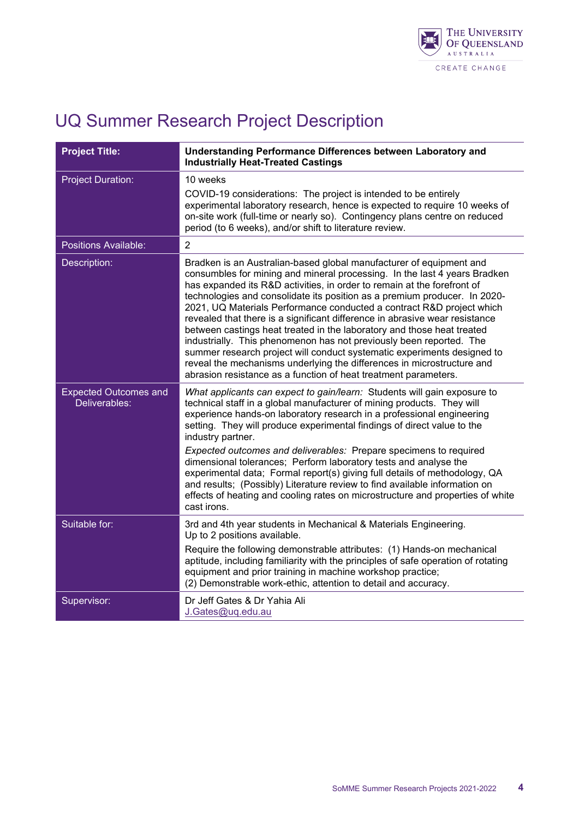

| <b>Project Title:</b>                         | Understanding Performance Differences between Laboratory and<br><b>Industrially Heat-Treated Castings</b>                                                                                                                                                                                                                                                                                                                                                                                                                                                                                                                                                                                                                                                                                                                                 |
|-----------------------------------------------|-------------------------------------------------------------------------------------------------------------------------------------------------------------------------------------------------------------------------------------------------------------------------------------------------------------------------------------------------------------------------------------------------------------------------------------------------------------------------------------------------------------------------------------------------------------------------------------------------------------------------------------------------------------------------------------------------------------------------------------------------------------------------------------------------------------------------------------------|
| <b>Project Duration:</b>                      | 10 weeks<br>COVID-19 considerations: The project is intended to be entirely<br>experimental laboratory research, hence is expected to require 10 weeks of<br>on-site work (full-time or nearly so). Contingency plans centre on reduced<br>period (to 6 weeks), and/or shift to literature review.                                                                                                                                                                                                                                                                                                                                                                                                                                                                                                                                        |
| <b>Positions Available:</b>                   | $\overline{2}$                                                                                                                                                                                                                                                                                                                                                                                                                                                                                                                                                                                                                                                                                                                                                                                                                            |
| Description:                                  | Bradken is an Australian-based global manufacturer of equipment and<br>consumbles for mining and mineral processing. In the last 4 years Bradken<br>has expanded its R&D activities, in order to remain at the forefront of<br>technologies and consolidate its position as a premium producer. In 2020-<br>2021, UQ Materials Performance conducted a contract R&D project which<br>revealed that there is a significant difference in abrasive wear resistance<br>between castings heat treated in the laboratory and those heat treated<br>industrially. This phenomenon has not previously been reported. The<br>summer research project will conduct systematic experiments designed to<br>reveal the mechanisms underlying the differences in microstructure and<br>abrasion resistance as a function of heat treatment parameters. |
| <b>Expected Outcomes and</b><br>Deliverables: | What applicants can expect to gain/learn: Students will gain exposure to<br>technical staff in a global manufacturer of mining products. They will<br>experience hands-on laboratory research in a professional engineering<br>setting. They will produce experimental findings of direct value to the<br>industry partner.<br>Expected outcomes and deliverables: Prepare specimens to required<br>dimensional tolerances; Perform laboratory tests and analyse the<br>experimental data; Formal report(s) giving full details of methodology, QA<br>and results; (Possibly) Literature review to find available information on<br>effects of heating and cooling rates on microstructure and properties of white                                                                                                                        |
|                                               | cast irons.                                                                                                                                                                                                                                                                                                                                                                                                                                                                                                                                                                                                                                                                                                                                                                                                                               |
| Suitable for:                                 | 3rd and 4th year students in Mechanical & Materials Engineering.<br>Up to 2 positions available.<br>Require the following demonstrable attributes: (1) Hands-on mechanical<br>aptitude, including familiarity with the principles of safe operation of rotating<br>equipment and prior training in machine workshop practice;<br>(2) Demonstrable work-ethic, attention to detail and accuracy.                                                                                                                                                                                                                                                                                                                                                                                                                                           |
| Supervisor:                                   | Dr Jeff Gates & Dr Yahia Ali<br>J.Gates@uq.edu.au                                                                                                                                                                                                                                                                                                                                                                                                                                                                                                                                                                                                                                                                                                                                                                                         |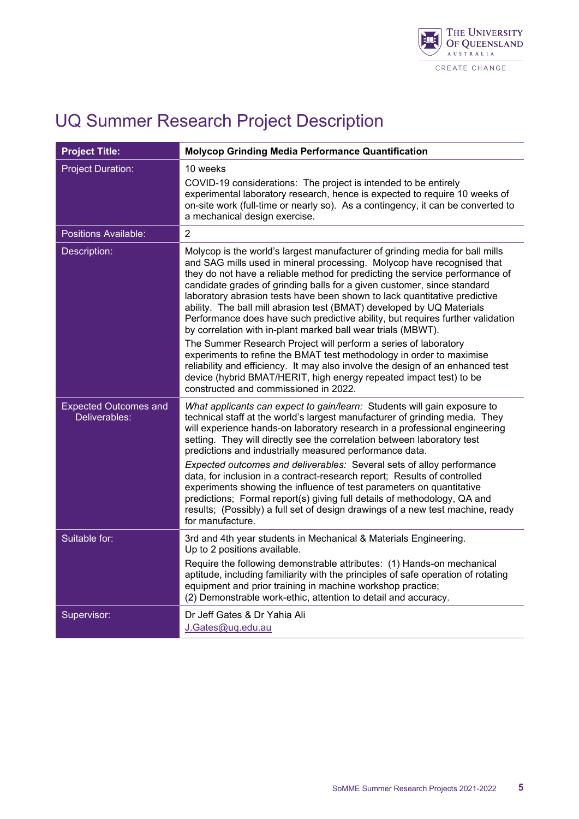

| <b>Project Title:</b>                         | <b>Molycop Grinding Media Performance Quantification</b>                                                                                                                                                                                                                                                                                                                                                                                                                                                                                                                                                                                                                                                                                                                                                                                                                                                                                                              |
|-----------------------------------------------|-----------------------------------------------------------------------------------------------------------------------------------------------------------------------------------------------------------------------------------------------------------------------------------------------------------------------------------------------------------------------------------------------------------------------------------------------------------------------------------------------------------------------------------------------------------------------------------------------------------------------------------------------------------------------------------------------------------------------------------------------------------------------------------------------------------------------------------------------------------------------------------------------------------------------------------------------------------------------|
| <b>Project Duration:</b>                      | 10 weeks<br>COVID-19 considerations: The project is intended to be entirely<br>experimental laboratory research, hence is expected to require 10 weeks of<br>on-site work (full-time or nearly so). As a contingency, it can be converted to<br>a mechanical design exercise.                                                                                                                                                                                                                                                                                                                                                                                                                                                                                                                                                                                                                                                                                         |
| <b>Positions Available:</b>                   | $\overline{2}$                                                                                                                                                                                                                                                                                                                                                                                                                                                                                                                                                                                                                                                                                                                                                                                                                                                                                                                                                        |
| Description:                                  | Molycop is the world's largest manufacturer of grinding media for ball mills<br>and SAG mills used in mineral processing. Molycop have recognised that<br>they do not have a reliable method for predicting the service performance of<br>candidate grades of grinding balls for a given customer, since standard<br>laboratory abrasion tests have been shown to lack quantitative predictive<br>ability. The ball mill abrasion test (BMAT) developed by UQ Materials<br>Performance does have such predictive ability, but requires further validation<br>by correlation with in-plant marked ball wear trials (MBWT).<br>The Summer Research Project will perform a series of laboratory<br>experiments to refine the BMAT test methodology in order to maximise<br>reliability and efficiency. It may also involve the design of an enhanced test<br>device (hybrid BMAT/HERIT, high energy repeated impact test) to be<br>constructed and commissioned in 2022. |
| <b>Expected Outcomes and</b><br>Deliverables: | What applicants can expect to gain/learn: Students will gain exposure to<br>technical staff at the world's largest manufacturer of grinding media. They<br>will experience hands-on laboratory research in a professional engineering<br>setting. They will directly see the correlation between laboratory test<br>predictions and industrially measured performance data.<br>Expected outcomes and deliverables: Several sets of alloy performance<br>data, for inclusion in a contract-research report; Results of controlled<br>experiments showing the influence of test parameters on quantitative<br>predictions; Formal report(s) giving full details of methodology, QA and<br>results; (Possibly) a full set of design drawings of a new test machine, ready<br>for manufacture.                                                                                                                                                                            |
| Suitable for:                                 | 3rd and 4th year students in Mechanical & Materials Engineering.<br>Up to 2 positions available.<br>Require the following demonstrable attributes: (1) Hands-on mechanical<br>aptitude, including familiarity with the principles of safe operation of rotating<br>equipment and prior training in machine workshop practice;<br>(2) Demonstrable work-ethic, attention to detail and accuracy.                                                                                                                                                                                                                                                                                                                                                                                                                                                                                                                                                                       |
| Supervisor:                                   | Dr Jeff Gates & Dr Yahia Ali<br>J.Gates@uq.edu.au                                                                                                                                                                                                                                                                                                                                                                                                                                                                                                                                                                                                                                                                                                                                                                                                                                                                                                                     |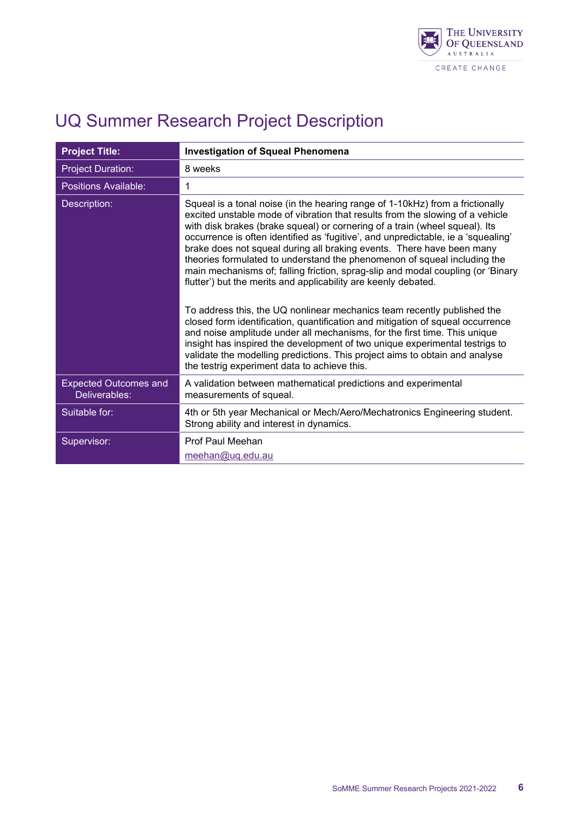

| <b>Project Title:</b>                         | <b>Investigation of Squeal Phenomena</b>                                                                                                                                                                                                                                                                                                                                                                                                                                                                                                                                                                                                     |
|-----------------------------------------------|----------------------------------------------------------------------------------------------------------------------------------------------------------------------------------------------------------------------------------------------------------------------------------------------------------------------------------------------------------------------------------------------------------------------------------------------------------------------------------------------------------------------------------------------------------------------------------------------------------------------------------------------|
| <b>Project Duration:</b>                      | 8 weeks                                                                                                                                                                                                                                                                                                                                                                                                                                                                                                                                                                                                                                      |
| Positions Available:                          | 1                                                                                                                                                                                                                                                                                                                                                                                                                                                                                                                                                                                                                                            |
| Description:                                  | Squeal is a tonal noise (in the hearing range of 1-10kHz) from a frictionally<br>excited unstable mode of vibration that results from the slowing of a vehicle<br>with disk brakes (brake squeal) or cornering of a train (wheel squeal). Its<br>occurrence is often identified as 'fugitive', and unpredictable, ie a 'squealing'<br>brake does not squeal during all braking events. There have been many<br>theories formulated to understand the phenomenon of squeal including the<br>main mechanisms of; falling friction, sprag-slip and modal coupling (or 'Binary<br>flutter') but the merits and applicability are keenly debated. |
|                                               | To address this, the UQ nonlinear mechanics team recently published the<br>closed form identification, quantification and mitigation of squeal occurrence<br>and noise amplitude under all mechanisms, for the first time. This unique<br>insight has inspired the development of two unique experimental testrigs to<br>validate the modelling predictions. This project aims to obtain and analyse<br>the testrig experiment data to achieve this.                                                                                                                                                                                         |
| <b>Expected Outcomes and</b><br>Deliverables: | A validation between mathematical predictions and experimental<br>measurements of squeal.                                                                                                                                                                                                                                                                                                                                                                                                                                                                                                                                                    |
| Suitable for:                                 | 4th or 5th year Mechanical or Mech/Aero/Mechatronics Engineering student.<br>Strong ability and interest in dynamics.                                                                                                                                                                                                                                                                                                                                                                                                                                                                                                                        |
| Supervisor:                                   | Prof Paul Meehan<br>meehan@uq.edu.au                                                                                                                                                                                                                                                                                                                                                                                                                                                                                                                                                                                                         |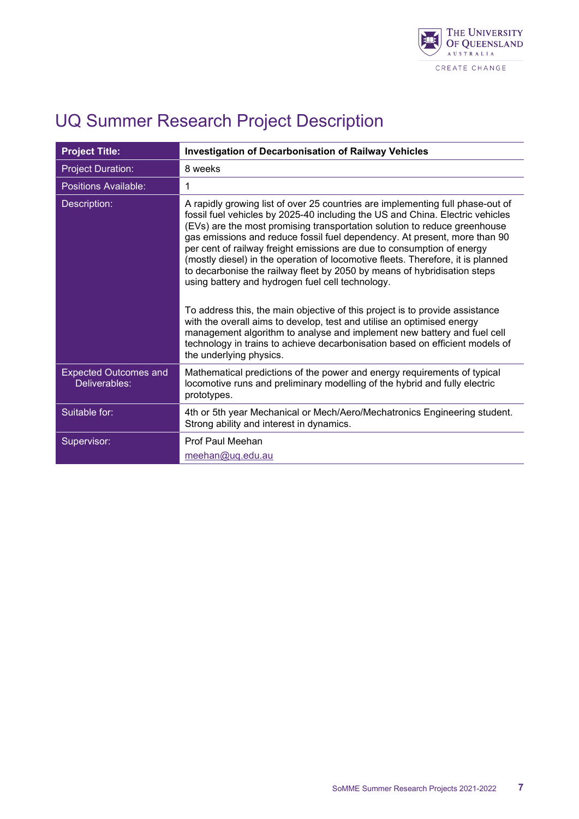

| <b>Project Title:</b>                         | <b>Investigation of Decarbonisation of Railway Vehicles</b>                                                                                                                                                                                                                                                                                                                                                                                                                                                                                                                                                            |
|-----------------------------------------------|------------------------------------------------------------------------------------------------------------------------------------------------------------------------------------------------------------------------------------------------------------------------------------------------------------------------------------------------------------------------------------------------------------------------------------------------------------------------------------------------------------------------------------------------------------------------------------------------------------------------|
| <b>Project Duration:</b>                      | 8 weeks                                                                                                                                                                                                                                                                                                                                                                                                                                                                                                                                                                                                                |
| Positions Available:                          | 1                                                                                                                                                                                                                                                                                                                                                                                                                                                                                                                                                                                                                      |
| Description:                                  | A rapidly growing list of over 25 countries are implementing full phase-out of<br>fossil fuel vehicles by 2025-40 including the US and China. Electric vehicles<br>(EVs) are the most promising transportation solution to reduce greenhouse<br>gas emissions and reduce fossil fuel dependency. At present, more than 90<br>per cent of railway freight emissions are due to consumption of energy<br>(mostly diesel) in the operation of locomotive fleets. Therefore, it is planned<br>to decarbonise the railway fleet by 2050 by means of hybridisation steps<br>using battery and hydrogen fuel cell technology. |
|                                               | To address this, the main objective of this project is to provide assistance<br>with the overall aims to develop, test and utilise an optimised energy<br>management algorithm to analyse and implement new battery and fuel cell<br>technology in trains to achieve decarbonisation based on efficient models of<br>the underlying physics.                                                                                                                                                                                                                                                                           |
| <b>Expected Outcomes and</b><br>Deliverables: | Mathematical predictions of the power and energy requirements of typical<br>locomotive runs and preliminary modelling of the hybrid and fully electric<br>prototypes.                                                                                                                                                                                                                                                                                                                                                                                                                                                  |
| Suitable for:                                 | 4th or 5th year Mechanical or Mech/Aero/Mechatronics Engineering student.<br>Strong ability and interest in dynamics.                                                                                                                                                                                                                                                                                                                                                                                                                                                                                                  |
| Supervisor:                                   | Prof Paul Meehan<br>meehan@uq.edu.au                                                                                                                                                                                                                                                                                                                                                                                                                                                                                                                                                                                   |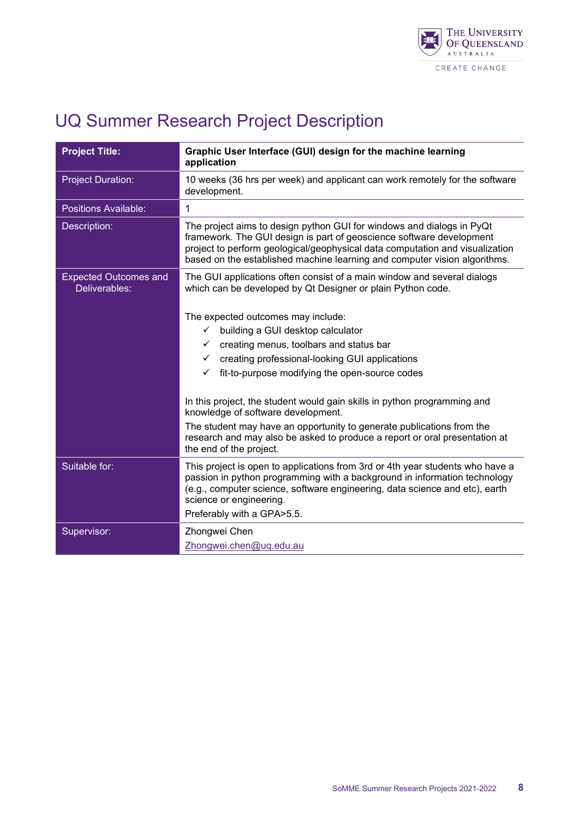

| <b>Project Title:</b>                         | Graphic User Interface (GUI) design for the machine learning<br>application                                                                                                                                                                                                                                |
|-----------------------------------------------|------------------------------------------------------------------------------------------------------------------------------------------------------------------------------------------------------------------------------------------------------------------------------------------------------------|
| <b>Project Duration:</b>                      | 10 weeks (36 hrs per week) and applicant can work remotely for the software<br>development.                                                                                                                                                                                                                |
| <b>Positions Available:</b>                   | $\mathbf{1}$                                                                                                                                                                                                                                                                                               |
| Description:                                  | The project aims to design python GUI for windows and dialogs in PyQt<br>framework. The GUI design is part of geoscience software development<br>project to perform geological/geophysical data computation and visualization<br>based on the established machine learning and computer vision algorithms. |
| <b>Expected Outcomes and</b><br>Deliverables: | The GUI applications often consist of a main window and several dialogs<br>which can be developed by Qt Designer or plain Python code.                                                                                                                                                                     |
|                                               | The expected outcomes may include:                                                                                                                                                                                                                                                                         |
|                                               | building a GUI desktop calculator<br>✓                                                                                                                                                                                                                                                                     |
|                                               | creating menus, toolbars and status bar<br>✓                                                                                                                                                                                                                                                               |
|                                               | creating professional-looking GUI applications<br>✓                                                                                                                                                                                                                                                        |
|                                               | fit-to-purpose modifying the open-source codes<br>✓                                                                                                                                                                                                                                                        |
|                                               | In this project, the student would gain skills in python programming and<br>knowledge of software development.                                                                                                                                                                                             |
|                                               | The student may have an opportunity to generate publications from the<br>research and may also be asked to produce a report or oral presentation at<br>the end of the project.                                                                                                                             |
| Suitable for:                                 | This project is open to applications from 3rd or 4th year students who have a<br>passion in python programming with a background in information technology<br>(e.g., computer science, software engineering, data science and etc), earth<br>science or engineering.                                       |
|                                               | Preferably with a GPA>5.5.                                                                                                                                                                                                                                                                                 |
| Supervisor:                                   | Zhongwei Chen                                                                                                                                                                                                                                                                                              |
|                                               | Zhongwei.chen@uq.edu.au                                                                                                                                                                                                                                                                                    |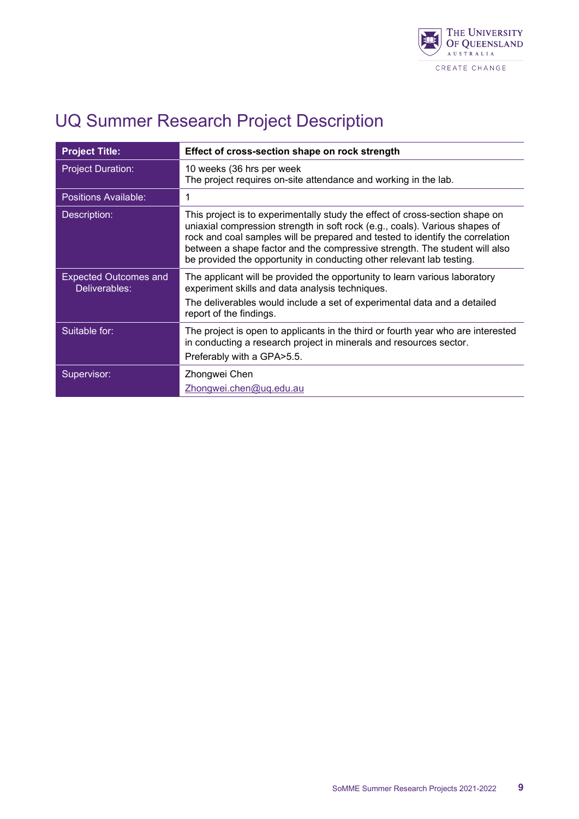

| <b>Project Title:</b>                         | Effect of cross-section shape on rock strength                                                                                                                                                                                                                                                                                                                                                      |
|-----------------------------------------------|-----------------------------------------------------------------------------------------------------------------------------------------------------------------------------------------------------------------------------------------------------------------------------------------------------------------------------------------------------------------------------------------------------|
| <b>Project Duration:</b>                      | 10 weeks (36 hrs per week<br>The project requires on-site attendance and working in the lab.                                                                                                                                                                                                                                                                                                        |
| <b>Positions Available:</b>                   | 1                                                                                                                                                                                                                                                                                                                                                                                                   |
| Description:                                  | This project is to experimentally study the effect of cross-section shape on<br>uniaxial compression strength in soft rock (e.g., coals). Various shapes of<br>rock and coal samples will be prepared and tested to identify the correlation<br>between a shape factor and the compressive strength. The student will also<br>be provided the opportunity in conducting other relevant lab testing. |
| <b>Expected Outcomes and</b><br>Deliverables: | The applicant will be provided the opportunity to learn various laboratory<br>experiment skills and data analysis techniques.<br>The deliverables would include a set of experimental data and a detailed<br>report of the findings.                                                                                                                                                                |
| Suitable for:                                 | The project is open to applicants in the third or fourth year who are interested<br>in conducting a research project in minerals and resources sector.<br>Preferably with a GPA > 5.5.                                                                                                                                                                                                              |
| Supervisor:                                   | Zhongwei Chen<br>Zhongwei.chen@uq.edu.au                                                                                                                                                                                                                                                                                                                                                            |